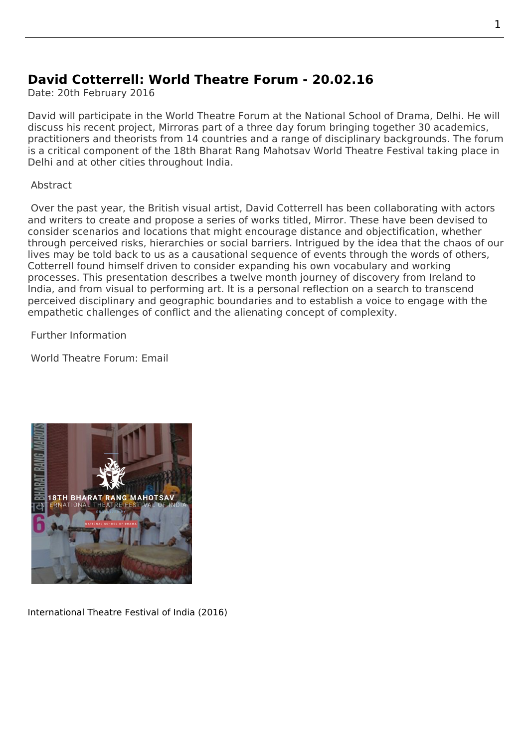## **David Cotterrell: World Theatre Forum - 20.02.16**

Date: 20th February 2016

David will participate in the World Theatre Forum at the National School of Drama, Delhi. He will discuss his recent project, Mirroras part of a three day forum bringing together 30 academics, practitioners and theorists from 14 countries and a range of disciplinary backgrounds. The forum is a critical component of the 18th Bharat Rang Mahotsav World Theatre Festival taking place in Delhi and at other cities throughout India.

Abstract

 Over the past year, the British visual artist, David Cotterrell has been collaborating with actors and writers to create and propose a series of works titled, Mirror. These have been devised to consider scenarios and locations that might encourage distance and objectification, whether through perceived risks, hierarchies or social barriers. Intrigued by the idea that the chaos of our lives may be told back to us as a causational sequence of events through the words of others, Cotterrell found himself driven to consider expanding his own vocabulary and working processes. This presentation describes a twelve month journey of discovery from Ireland to India, and from visual to performing art. It is a personal reflection on a search to transcend perceived disciplinary and geographic boundaries and to establish a voice to engage with the empathetic challenges of conflict and the alienating concept of complexity.

Further Information

World Theatre Forum: Email



International Theatre Festival of India (2016)